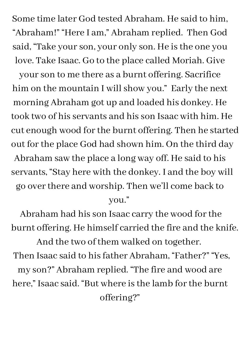Some time later God tested Abraham. He said to him, "Abraham!" "Here I am, " Abraham replied. Then God said, "Take yourson, your only son. He isthe one you love. Take Isaac. Go to the place called Moriah. Give

yourson to me there as a burnt offering. Sacrifice him on the mountain I will show you." Early the next morning Abraham got up and loaded his donkey. He took two of hisservants and hisson Isaac with him. He cut enough wood for the burnt offering. Then he started out for the place God had shown him. On the third day Abraham saw the place a long way off. He said to his servants, "Stay here with the donkey. I and the boy will go overthere and worship. Then we 'll come back to you."

Abraham had his son Isaac carry the wood for the burnt offering. He himself carried the fire and the knife. And the two of them walked on together. Then Isaac said to his father Abraham, "Father?" "Yes, my son?" Abraham replied. "The fire and wood are here, " Isaac said. "But where isthe lamb forthe burnt offering?"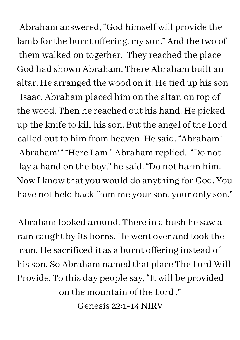Abraham answered, "God himself will provide the lamb for the burnt offering, my son." And the two of them walked on together. They reached the place God had shown Abraham. There Abraham built an altar. He arranged the wood on it. He tied up his son Isaac. Abraham placed him on the altar, on top of the wood. Then he reached out his hand. He picked up the knife to kill hisson. But the angel of the Lord called out to him from heaven. He said, "Abraham! Abraham!" "Here I am, " Abraham replied. "Do not lay a hand on the boy, " he said. "Do not harm him. Now I know that you would do anything for God. You have not held back from me your son, your only son."

Abraham looked around. There in a bush he saw a ram caught by its horns. He went over and took the ram. He sacrificed it as a burnt offering instead of hisson. So Abraham named that place The Lord Will Provide. To this day people say, "It will be provided on the mountain of the Lord ." Genesis 22:1-14 NIRV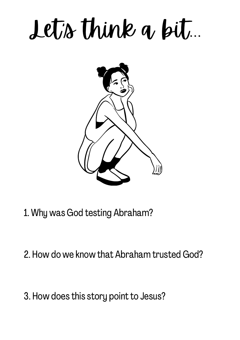## Let's think a bit...



- 1. Why was God testing Abraham?
- 2. How do we know that Abraham trusted God?
- 3. How does this story point to Jesus?